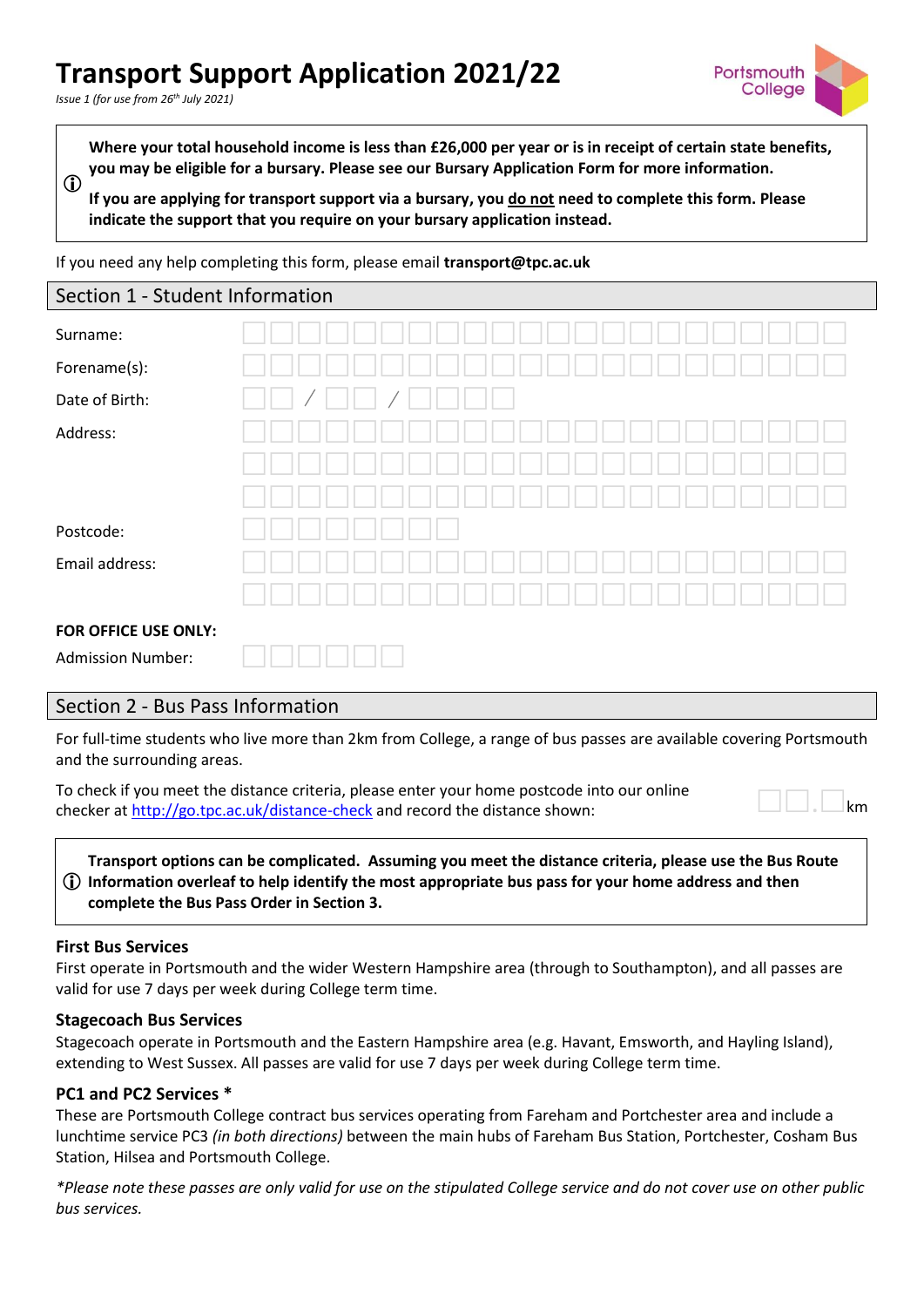# **Transport Support Application 2021/22**

*Issue 1 (for use from 26th July 2021)*



 $\mathbf{r}$ **Where your total household income is less than £26,000 per year or is in receipt of certain state benefits, you may be eligible for a bursary. Please see our Bursary Application Form for more information.**

**If you are applying for transport support via a bursary, you do not need to complete this form. Please indicate the support that you require on your bursary application instead.**

If you need any help completing this form, please email **transport@tpc.ac.uk**

| Section 1 - Student Information |  |
|---------------------------------|--|
| Surname:                        |  |
| Forename(s):                    |  |
| Date of Birth:                  |  |
| Address:                        |  |
|                                 |  |
|                                 |  |
| Postcode:                       |  |
| Email address:                  |  |
|                                 |  |
| FOR OFFICE USE ONLY:            |  |
| <b>Admission Number:</b>        |  |

### Section 2 - Bus Pass Information

For full-time students who live more than 2km from College, a range of bus passes are available covering Portsmouth and the surrounding areas.

To check if you meet the distance criteria, please enter your home postcode into our online checker at  $http://go.tpc.ac.uk/distance-check and record the distance shown:$ 

|  |  | km |
|--|--|----|

 **Information overleaf to help identify the most appropriate bus pass for your home address and then Transport options can be complicated. Assuming you meet the distance criteria, please use the Bus Route complete the Bus Pass Order in Section 3.**

### **First Bus Services**

First operate in Portsmouth and the wider Western Hampshire area (through to Southampton), and all passes are valid for use 7 days per week during College term time.

### **Stagecoach Bus Services**

Stagecoach operate in Portsmouth and the Eastern Hampshire area (e.g. Havant, Emsworth, and Hayling Island), extending to West Sussex. All passes are valid for use 7 days per week during College term time.

### **PC1 and PC2 Services \***

These are Portsmouth College contract bus services operating from Fareham and Portchester area and include a lunchtime service PC3 *(in both directions)* between the main hubs of Fareham Bus Station, Portchester, Cosham Bus Station, Hilsea and Portsmouth College.

*\*Please note these passes are only valid for use on the stipulated College service and do not cover use on other public bus services.*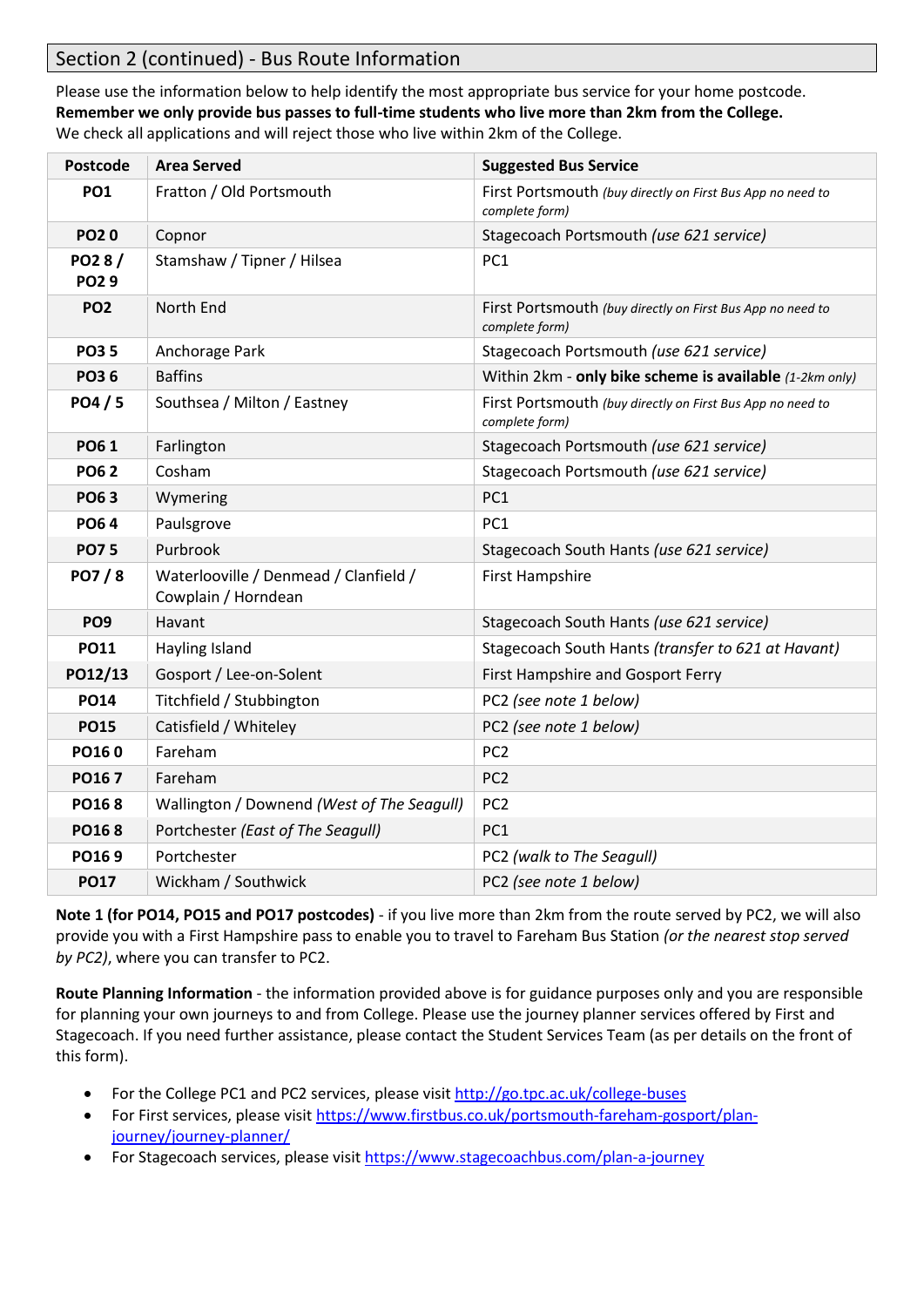# Section 2 (continued) - Bus Route Information

Please use the information below to help identify the most appropriate bus service for your home postcode. **Remember we only provide bus passes to full-time students who live more than 2km from the College.**  We check all applications and will reject those who live within 2km of the College.

| <b>Postcode</b>      | <b>Area Served</b>                                           | <b>Suggested Bus Service</b>                                                 |
|----------------------|--------------------------------------------------------------|------------------------------------------------------------------------------|
| <b>PO1</b>           | Fratton / Old Portsmouth                                     | First Portsmouth (buy directly on First Bus App no need to<br>complete form) |
| <b>PO20</b>          | Copnor                                                       | Stagecoach Portsmouth (use 621 service)                                      |
| PO28/<br><b>PO29</b> | Stamshaw / Tipner / Hilsea                                   | PC <sub>1</sub>                                                              |
| <b>PO2</b>           | North End                                                    | First Portsmouth (buy directly on First Bus App no need to<br>complete form) |
| <b>PO35</b>          | Anchorage Park                                               | Stagecoach Portsmouth (use 621 service)                                      |
| <b>PO36</b>          | <b>Baffins</b>                                               | Within 2km - only bike scheme is available (1-2km only)                      |
| PO4 / 5              | Southsea / Milton / Eastney                                  | First Portsmouth (buy directly on First Bus App no need to<br>complete form) |
| <b>PO61</b>          | Farlington                                                   | Stagecoach Portsmouth (use 621 service)                                      |
| <b>PO62</b>          | Cosham                                                       | Stagecoach Portsmouth (use 621 service)                                      |
| <b>PO63</b>          | Wymering                                                     | PC1                                                                          |
| <b>PO64</b>          | Paulsgrove                                                   | PC1                                                                          |
| <b>PO75</b>          | Purbrook                                                     | Stagecoach South Hants (use 621 service)                                     |
| PO7/8                | Waterlooville / Denmead / Clanfield /<br>Cowplain / Horndean | <b>First Hampshire</b>                                                       |
| PO <sub>9</sub>      | Havant                                                       | Stagecoach South Hants (use 621 service)                                     |
| <b>PO11</b>          | Hayling Island                                               | Stagecoach South Hants (transfer to 621 at Havant)                           |
| PO12/13              | Gosport / Lee-on-Solent                                      | First Hampshire and Gosport Ferry                                            |
| <b>PO14</b>          | Titchfield / Stubbington                                     | PC2 (see note 1 below)                                                       |
| <b>PO15</b>          | Catisfield / Whiteley                                        | PC2 (see note 1 below)                                                       |
| PO160                | Fareham                                                      | PC <sub>2</sub>                                                              |
| PO167                | Fareham                                                      | PC <sub>2</sub>                                                              |
| <b>PO168</b>         | Wallington / Downend (West of The Seagull)                   | PC <sub>2</sub>                                                              |
| PO168                | Portchester (East of The Seagull)                            | PC1                                                                          |
| PO169                | Portchester                                                  | PC2 (walk to The Seagull)                                                    |
| <b>PO17</b>          | Wickham / Southwick                                          | PC2 (see note 1 below)                                                       |

**Note 1 (for PO14, PO15 and PO17 postcodes)** - if you live more than 2km from the route served by PC2, we will also provide you with a First Hampshire pass to enable you to travel to Fareham Bus Station *(or the nearest stop served by PC2)*, where you can transfer to PC2.

**Route Planning Information** - the information provided above is for guidance purposes only and you are responsible for planning your own journeys to and from College. Please use the journey planner services offered by First and Stagecoach. If you need further assistance, please contact the Student Services Team (as per details on the front of this form).

- For the College PC1 and PC2 services, please visit<http://go.tpc.ac.uk/college-buses>
- For First services, please visi[t https://www.firstbus.co.uk/portsmouth-fareham-gosport/plan](https://www.firstbus.co.uk/portsmouth-fareham-gosport/plan-journey/journey-planner/)[journey/journey-planner/](https://www.firstbus.co.uk/portsmouth-fareham-gosport/plan-journey/journey-planner/)
- For Stagecoach services, please visit<https://www.stagecoachbus.com/plan-a-journey>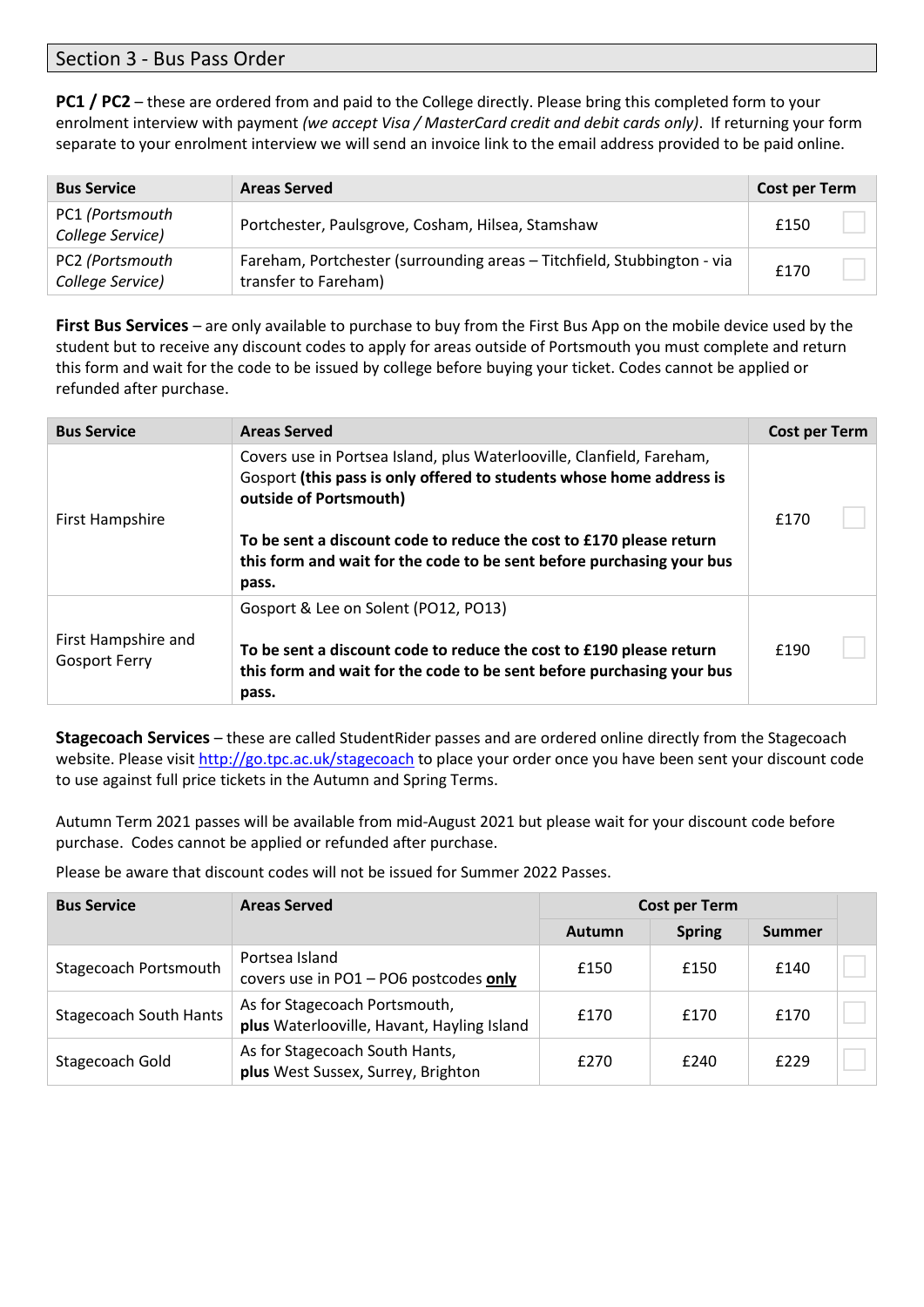### Section 3 - Bus Pass Order

**PC1 / PC2** – these are ordered from and paid to the College directly. Please bring this completed form to your enrolment interview with payment *(we accept Visa / MasterCard credit and debit cards only)*. If returning your form separate to your enrolment interview we will send an invoice link to the email address provided to be paid online.

| <b>Bus Service</b>                  | <b>Areas Served</b>                                                                             | <b>Cost per Term</b> |
|-------------------------------------|-------------------------------------------------------------------------------------------------|----------------------|
| PC1 (Portsmouth<br>College Service) | Portchester, Paulsgrove, Cosham, Hilsea, Stamshaw                                               | £150                 |
| PC2 (Portsmouth<br>College Service) | Fareham, Portchester (surrounding areas - Titchfield, Stubbington - via<br>transfer to Fareham) | £170                 |

**First Bus Services** – are only available to purchase to buy from the First Bus App on the mobile device used by the student but to receive any discount codes to apply for areas outside of Portsmouth you must complete and return this form and wait for the code to be issued by college before buying your ticket. Codes cannot be applied or refunded after purchase.

| <b>Bus Service</b>                          | <b>Areas Served</b>                                                                                                                                                                                                                                                                                                              | Cost per Term |
|---------------------------------------------|----------------------------------------------------------------------------------------------------------------------------------------------------------------------------------------------------------------------------------------------------------------------------------------------------------------------------------|---------------|
| First Hampshire                             | Covers use in Portsea Island, plus Waterlooville, Clanfield, Fareham,<br>Gosport (this pass is only offered to students whose home address is<br>outside of Portsmouth)<br>To be sent a discount code to reduce the cost to £170 please return<br>this form and wait for the code to be sent before purchasing your bus<br>pass. | £170          |
| First Hampshire and<br><b>Gosport Ferry</b> | Gosport & Lee on Solent (PO12, PO13)<br>To be sent a discount code to reduce the cost to £190 please return<br>this form and wait for the code to be sent before purchasing your bus<br>pass.                                                                                                                                    | f190          |

**Stagecoach Services** – these are called StudentRider passes and are ordered online directly from the Stagecoach website. Please visit<http://go.tpc.ac.uk/stagecoach> to place your order once you have been sent your discount code to use against full price tickets in the Autumn and Spring Terms.

Autumn Term 2021 passes will be available from mid-August 2021 but please wait for your discount code before purchase. Codes cannot be applied or refunded after purchase.

Please be aware that discount codes will not be issued for Summer 2022 Passes.

| <b>Bus Service</b>            | <b>Areas Served</b>                                                         | <b>Cost per Term</b> |               |        |  |
|-------------------------------|-----------------------------------------------------------------------------|----------------------|---------------|--------|--|
|                               |                                                                             | Autumn               | <b>Spring</b> | Summer |  |
| Stagecoach Portsmouth         | Portsea Island<br>covers use in PO1 - PO6 postcodes only                    | £150                 | £150          | £140   |  |
| <b>Stagecoach South Hants</b> | As for Stagecoach Portsmouth,<br>plus Waterlooville, Havant, Hayling Island | £170                 | £170          | £170   |  |
| Stagecoach Gold               | As for Stagecoach South Hants,<br>plus West Sussex, Surrey, Brighton        | £270                 | £240          | f229   |  |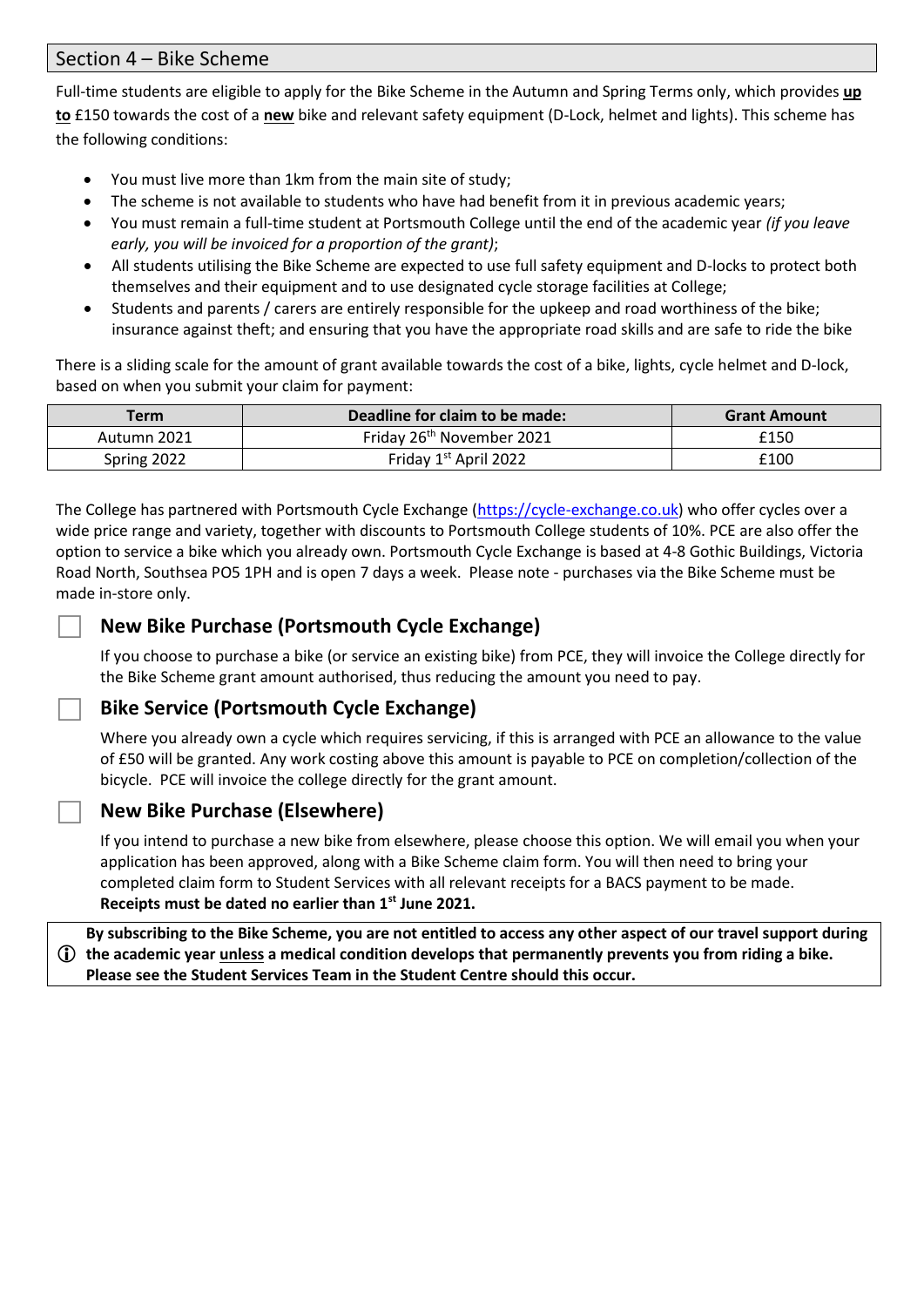### Section 4 – Bike Scheme

Full-time students are eligible to apply for the Bike Scheme in the Autumn and Spring Terms only, which provides **up to** £150 towards the cost of a **new** bike and relevant safety equipment (D-Lock, helmet and lights). This scheme has the following conditions:

- You must live more than 1km from the main site of study;
- The scheme is not available to students who have had benefit from it in previous academic years;
- You must remain a full-time student at Portsmouth College until the end of the academic year *(if you leave early, you will be invoiced for a proportion of the grant)*;
- All students utilising the Bike Scheme are expected to use full safety equipment and D-locks to protect both themselves and their equipment and to use designated cycle storage facilities at College;
- Students and parents / carers are entirely responsible for the upkeep and road worthiness of the bike; insurance against theft; and ensuring that you have the appropriate road skills and are safe to ride the bike

There is a sliding scale for the amount of grant available towards the cost of a bike, lights, cycle helmet and D-lock, based on when you submit your claim for payment:

| Term        | Deadline for claim to be made:        | <b>Grant Amount</b> |
|-------------|---------------------------------------|---------------------|
| Autumn 2021 | Friday 26 <sup>th</sup> November 2021 | £150                |
| Spring 2022 | Friday 1 <sup>st</sup> April 2022     | £100                |

The College has partnered with Portsmouth Cycle Exchange [\(https://cycle-exchange.co.uk\)](https://cycle-exchange.co.uk/) who offer cycles over a wide price range and variety, together with discounts to Portsmouth College students of 10%. PCE are also offer the option to service a bike which you already own. Portsmouth Cycle Exchange is based at 4-8 Gothic Buildings, Victoria Road North, Southsea PO5 1PH and is open 7 days a week. Please note - purchases via the Bike Scheme must be made in-store only.

# **New Bike Purchase (Portsmouth Cycle Exchange)**

If you choose to purchase a bike (or service an existing bike) from PCE, they will invoice the College directly for the Bike Scheme grant amount authorised, thus reducing the amount you need to pay.

# **Bike Service (Portsmouth Cycle Exchange)**

Where you already own a cycle which requires servicing, if this is arranged with PCE an allowance to the value of £50 will be granted. Any work costing above this amount is payable to PCE on completion/collection of the bicycle. PCE will invoice the college directly for the grant amount.

## **New Bike Purchase (Elsewhere)**

If you intend to purchase a new bike from elsewhere, please choose this option. We will email you when your application has been approved, along with a Bike Scheme claim form. You will then need to bring your completed claim form to Student Services with all relevant receipts for a BACS payment to be made. **Receipts must be dated no earlier than 1st June 2021.**

 **the academic year unless a medical condition develops that permanently prevents you from riding a bike. By subscribing to the Bike Scheme, you are not entitled to access any other aspect of our travel support during Please see the Student Services Team in the Student Centre should this occur.**